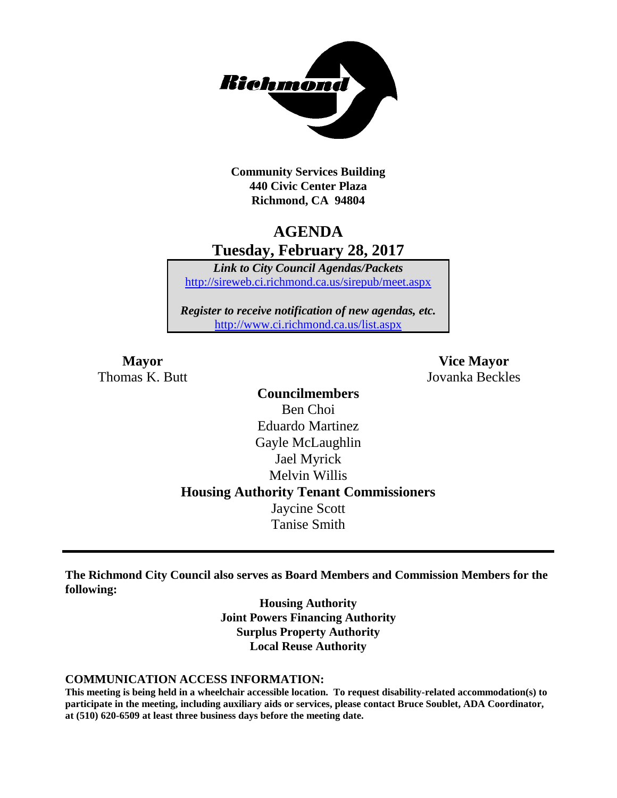

**Community Services Building 440 Civic Center Plaza Richmond, CA 94804**

# **AGENDA Tuesday, February 28, 2017**

*Link to City Council Agendas/Packets* <http://sireweb.ci.richmond.ca.us/sirepub/meet.aspx>

*Register to receive notification of new agendas, etc.* <http://www.ci.richmond.ca.us/list.aspx>

**Mayor Vice Mayor** Thomas K. Butt Jovanka Beckles

> **Councilmembers** Ben Choi Eduardo Martinez Gayle McLaughlin Jael Myrick Melvin Willis **Housing Authority Tenant Commissioners** Jaycine Scott Tanise Smith

**The Richmond City Council also serves as Board Members and Commission Members for the following:**

> **Housing Authority Joint Powers Financing Authority Surplus Property Authority Local Reuse Authority**

#### **COMMUNICATION ACCESS INFORMATION:**

**This meeting is being held in a wheelchair accessible location. To request disability-related accommodation(s) to participate in the meeting, including auxiliary aids or services, please contact Bruce Soublet, ADA Coordinator, at (510) 620-6509 at least three business days before the meeting date.**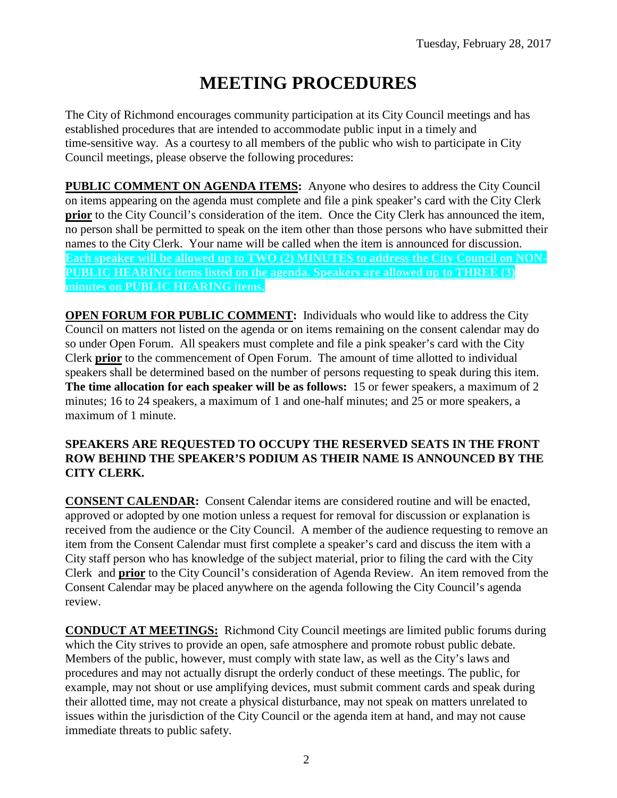# **MEETING PROCEDURES**

The City of Richmond encourages community participation at its City Council meetings and has established procedures that are intended to accommodate public input in a timely and time-sensitive way. As a courtesy to all members of the public who wish to participate in City Council meetings, please observe the following procedures:

**PUBLIC COMMENT ON AGENDA ITEMS:** Anyone who desires to address the City Council on items appearing on the agenda must complete and file a pink speaker's card with the City Clerk **prior** to the City Council's consideration of the item. Once the City Clerk has announced the item, no person shall be permitted to speak on the item other than those persons who have submitted their names to the City Clerk. Your name will be called when the item is announced for discussion. **Each speaker will be allowed up to TWO (2) MINUTES to address the City Council on NON-PUBLIC HEARING items listed on the agenda. Speakers are allowed up to THREE (3) minutes on PUBLIC HEARING items.**

**OPEN FORUM FOR PUBLIC COMMENT:** Individuals who would like to address the City Council on matters not listed on the agenda or on items remaining on the consent calendar may do so under Open Forum. All speakers must complete and file a pink speaker's card with the City Clerk **prior** to the commencement of Open Forum. The amount of time allotted to individual speakers shall be determined based on the number of persons requesting to speak during this item. **The time allocation for each speaker will be as follows:** 15 or fewer speakers, a maximum of 2 minutes; 16 to 24 speakers, a maximum of 1 and one-half minutes; and 25 or more speakers, a maximum of 1 minute.

### **SPEAKERS ARE REQUESTED TO OCCUPY THE RESERVED SEATS IN THE FRONT ROW BEHIND THE SPEAKER'S PODIUM AS THEIR NAME IS ANNOUNCED BY THE CITY CLERK.**

**CONSENT CALENDAR:** Consent Calendar items are considered routine and will be enacted, approved or adopted by one motion unless a request for removal for discussion or explanation is received from the audience or the City Council. A member of the audience requesting to remove an item from the Consent Calendar must first complete a speaker's card and discuss the item with a City staff person who has knowledge of the subject material, prior to filing the card with the City Clerk and **prior** to the City Council's consideration of Agenda Review. An item removed from the Consent Calendar may be placed anywhere on the agenda following the City Council's agenda review.

**CONDUCT AT MEETINGS:** Richmond City Council meetings are limited public forums during which the City strives to provide an open, safe atmosphere and promote robust public debate. Members of the public, however, must comply with state law, as well as the City's laws and procedures and may not actually disrupt the orderly conduct of these meetings. The public, for example, may not shout or use amplifying devices, must submit comment cards and speak during their allotted time, may not create a physical disturbance, may not speak on matters unrelated to issues within the jurisdiction of the City Council or the agenda item at hand, and may not cause immediate threats to public safety.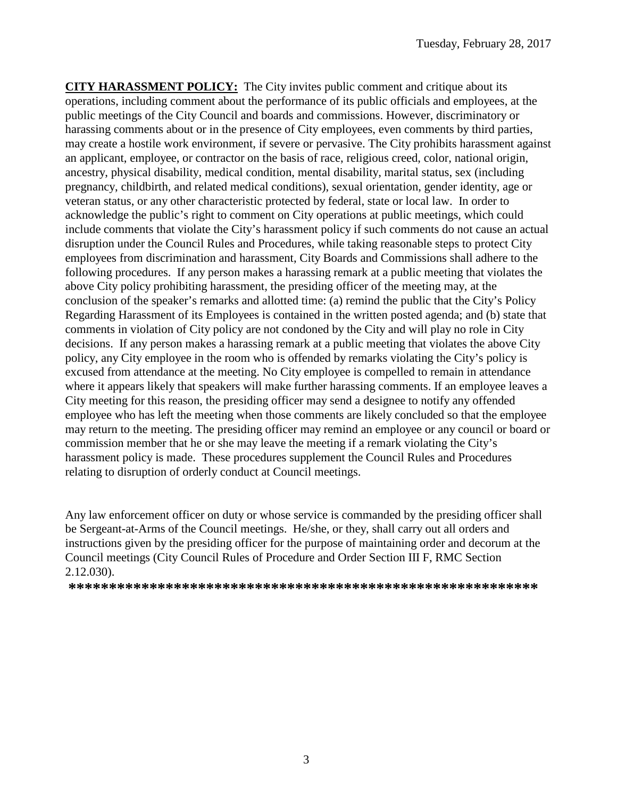**CITY HARASSMENT POLICY:** The City invites public comment and critique about its operations, including comment about the performance of its public officials and employees, at the public meetings of the City Council and boards and commissions. However, discriminatory or harassing comments about or in the presence of City employees, even comments by third parties, may create a hostile work environment, if severe or pervasive. The City prohibits harassment against an applicant, employee, or contractor on the basis of race, religious creed, color, national origin, ancestry, physical disability, medical condition, mental disability, marital status, sex (including pregnancy, childbirth, and related medical conditions), sexual orientation, gender identity, age or veteran status, or any other characteristic protected by federal, state or local law. In order to acknowledge the public's right to comment on City operations at public meetings, which could include comments that violate the City's harassment policy if such comments do not cause an actual disruption under the Council Rules and Procedures, while taking reasonable steps to protect City employees from discrimination and harassment, City Boards and Commissions shall adhere to the following procedures. If any person makes a harassing remark at a public meeting that violates the above City policy prohibiting harassment, the presiding officer of the meeting may, at the conclusion of the speaker's remarks and allotted time: (a) remind the public that the City's Policy Regarding Harassment of its Employees is contained in the written posted agenda; and (b) state that comments in violation of City policy are not condoned by the City and will play no role in City decisions. If any person makes a harassing remark at a public meeting that violates the above City policy, any City employee in the room who is offended by remarks violating the City's policy is excused from attendance at the meeting. No City employee is compelled to remain in attendance where it appears likely that speakers will make further harassing comments. If an employee leaves a City meeting for this reason, the presiding officer may send a designee to notify any offended employee who has left the meeting when those comments are likely concluded so that the employee may return to the meeting. The presiding officer may remind an employee or any council or board or commission member that he or she may leave the meeting if a remark violating the City's harassment policy is made. These procedures supplement the Council Rules and Procedures relating to disruption of orderly conduct at Council meetings.

Any law enforcement officer on duty or whose service is commanded by the presiding officer shall be Sergeant-at-Arms of the Council meetings. He/she, or they, shall carry out all orders and instructions given by the presiding officer for the purpose of maintaining order and decorum at the Council meetings (City Council Rules of Procedure and Order Section III F, RMC Section 2.12.030).

**\*\*\*\*\*\*\*\*\*\*\*\*\*\*\*\*\*\*\*\*\*\*\*\*\*\*\*\*\*\*\*\*\*\*\*\*\*\*\*\*\*\*\*\*\*\*\*\*\*\*\*\*\*\*\*\*\*\***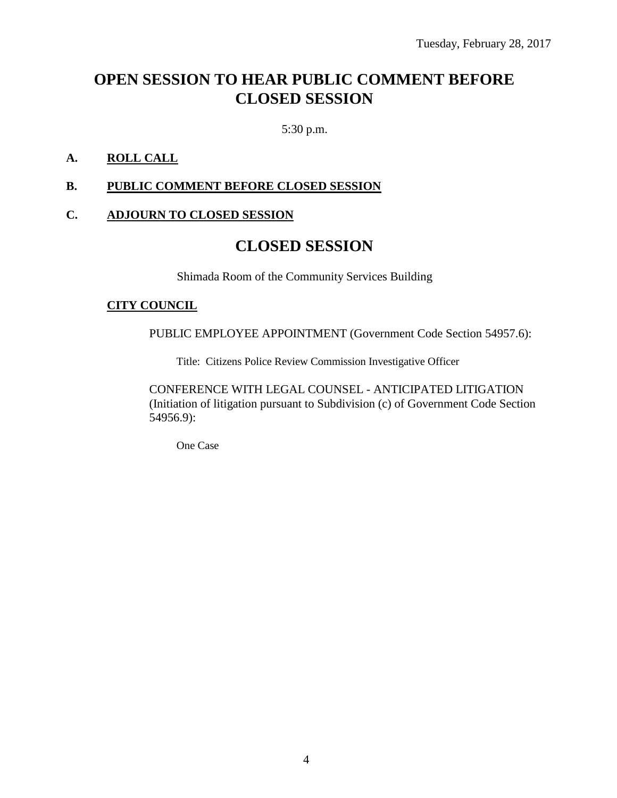# **OPEN SESSION TO HEAR PUBLIC COMMENT BEFORE CLOSED SESSION**

5:30 p.m.

### **A. ROLL CALL**

### **B. PUBLIC COMMENT BEFORE CLOSED SESSION**

#### **C. ADJOURN TO CLOSED SESSION**

# **CLOSED SESSION**

Shimada Room of the Community Services Building

#### **CITY COUNCIL**

PUBLIC EMPLOYEE APPOINTMENT (Government Code Section 54957.6):

Title: Citizens Police Review Commission Investigative Officer

CONFERENCE WITH LEGAL COUNSEL - ANTICIPATED LITIGATION (Initiation of litigation pursuant to Subdivision (c) of Government Code Section 54956.9):

One Case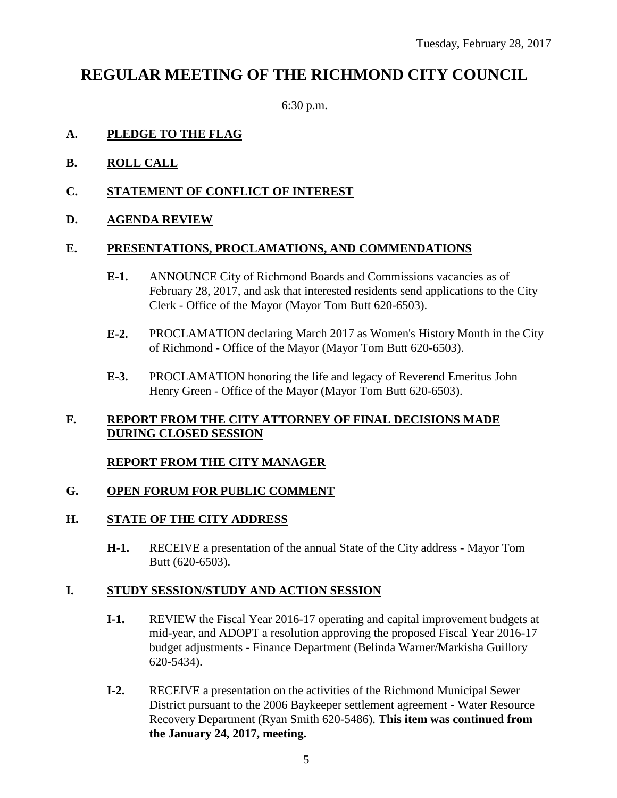# **REGULAR MEETING OF THE RICHMOND CITY COUNCIL**

6:30 p.m.

### **A. PLEDGE TO THE FLAG**

- **B. ROLL CALL**
- **C. STATEMENT OF CONFLICT OF INTEREST**
- **D. AGENDA REVIEW**

### **E. PRESENTATIONS, PROCLAMATIONS, AND COMMENDATIONS**

- **E-1.** ANNOUNCE City of Richmond Boards and Commissions vacancies as of February 28, 2017, and ask that interested residents send applications to the City Clerk - Office of the Mayor (Mayor Tom Butt 620-6503).
- **E-2.** PROCLAMATION declaring March 2017 as Women's History Month in the City of Richmond - Office of the Mayor (Mayor Tom Butt 620-6503).
- **E-3.** PROCLAMATION honoring the life and legacy of Reverend Emeritus John Henry Green - Office of the Mayor (Mayor Tom Butt 620-6503).

### **F. REPORT FROM THE CITY ATTORNEY OF FINAL DECISIONS MADE DURING CLOSED SESSION**

## **REPORT FROM THE CITY MANAGER**

## **G. OPEN FORUM FOR PUBLIC COMMENT**

## **H. STATE OF THE CITY ADDRESS**

**H-1.** RECEIVE a presentation of the annual State of the City address - Mayor Tom Butt (620-6503).

## **I. STUDY SESSION/STUDY AND ACTION SESSION**

- **I-1.** REVIEW the Fiscal Year 2016-17 operating and capital improvement budgets at mid-year, and ADOPT a resolution approving the proposed Fiscal Year 2016-17 budget adjustments - Finance Department (Belinda Warner/Markisha Guillory 620-5434).
- **I-2.** RECEIVE a presentation on the activities of the Richmond Municipal Sewer District pursuant to the 2006 Baykeeper settlement agreement - Water Resource Recovery Department (Ryan Smith 620-5486). **This item was continued from the January 24, 2017, meeting.**